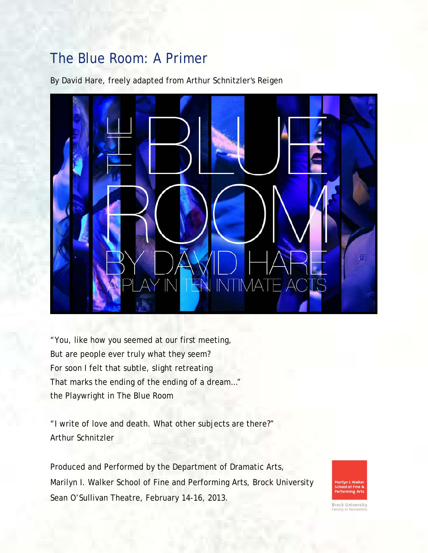# The Blue Room: A Primer

By David Hare, freely adapted from Arthur Schnitzler's *Reigen* 



"You, like how you seemed at our first meeting, But are people ever truly what they seem? For soon I felt that subtle, slight retreating That marks the ending of the ending of a dream…" the Playwright in *The Blue Room* 

"I write of love and death. What other subjects are there?" Arthur Schnitzler

Produced and Performed by the Department of Dramatic Arts, Marilyn I. Walker School of Fine and Performing Arts, Brock University Sean O'Sullivan Theatre, February 14-16, 2013.



**Brock University**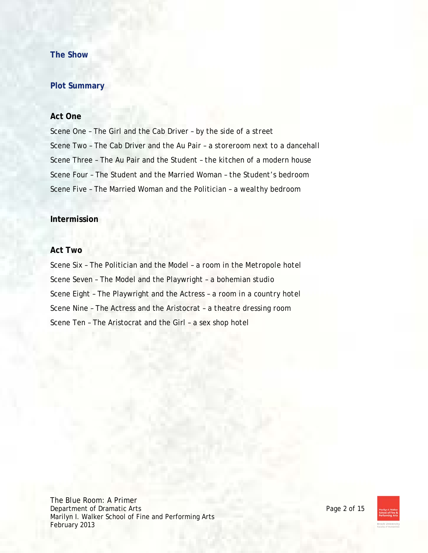# **The Show**

# **Plot Summary**

### **Act One**

Scene One – The Girl and the Cab Driver – *by the side of a street* Scene Two – The Cab Driver and the Au Pair – *a storeroom next to a dancehall* Scene Three – The Au Pair and the Student – *the kitchen of a modern house* Scene Four – The Student and the Married Woman – *the Student's bedroom* Scene Five – The Married Woman and the Politician – *a wealthy bedroom*

# **Intermission**

#### **Act Two**

Scene Six – The Politician and the Model – *a room in the Metropole hotel* Scene Seven – The Model and the Playwright – *a bohemian studio* Scene Eight – The Playwright and the Actress – *a room in a country hotel* Scene Nine – The Actress and the Aristocrat – *a theatre dressing room* Scene Ten – The Aristocrat and the Girl – *a sex shop hotel*

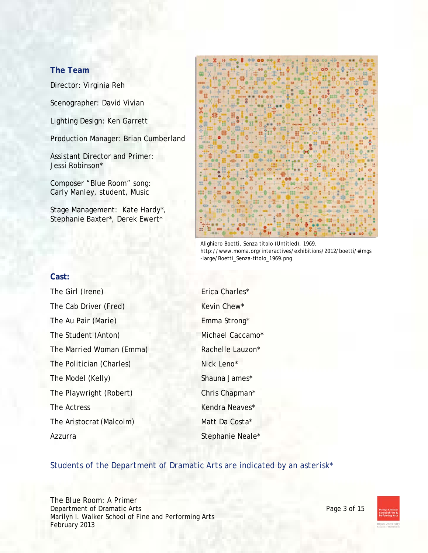# **The Team**

Director: Virginia Reh

Scenographer: David Vivian

Lighting Design: Ken Garrett

Production Manager: Brian Cumberland

Assistant Director and Primer: Jessi Robinson\*

Composer "Blue Room" song: Carly Manley, student, Music

Stage Management: Kate Hardy\*, Stephanie Baxter\*, Derek Ewert\*



Alighiero Boetti, Senza titolo (Untitled), 1969. http://www.moma.org/interactives/exhibitions/2012/boetti/#imgs -large/Boetti\_Senza-titolo\_1969.png

#### **Cast:**

The Girl (Irene) Erica Charles\* The Cab Driver (Fred) Kevin Chew\* The Au Pair (Marie) Emma Strong\* The Student (Anton) Michael Caccamo\* The Married Woman (Emma) Rachelle Lauzon\* The Politician (Charles) Nick Leno\* The Model (Kelly) Shauna James\* The Playwright (Robert) Chris Chapman\* The Actress Kendra Neaves\* The Aristocrat (Malcolm) Matt Da Costa\* Azzurra Stephanie Neale\*

#### *Students of the Department of Dramatic Arts are indicated by an asterisk\**

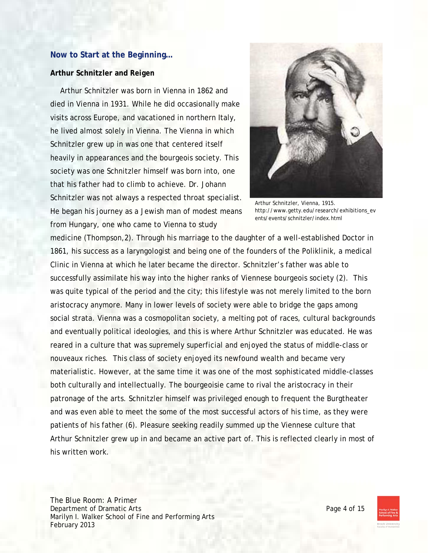# **Now to Start at the Beginning…**

#### **Arthur Schnitzler and** *Reigen*

Arthur Schnitzler was born in Vienna in 1862 and died in Vienna in 1931. While he did occasionally make visits across Europe, and vacationed in northern Italy, he lived almost solely in Vienna. The Vienna in which Schnitzler grew up in was one that centered itself heavily in appearances and the bourgeois society. This society was one Schnitzler himself was born into, one that his father had to climb to achieve. Dr. Johann Schnitzler was not always a respected throat specialist. He began his journey as a Jewish man of modest means from Hungary, one who came to Vienna to study



Arthur Schnitzler, Vienna, 1915. http://www.getty.edu/research/exhibitions\_ev ents/events/schnitzler/index.html

medicine (Thompson,2). Through his marriage to the daughter of a well-established Doctor in 1861, his success as a laryngologist and being one of the founders of the Poliklinik, a medical Clinic in Vienna at which he later became the director. Schnitzler's father was able to successfully assimilate his way into the higher ranks of Viennese bourgeois society (2). This was quite typical of the period and the city; this lifestyle was not merely limited to the born aristocracy anymore. Many in lower levels of society were able to bridge the gaps among social strata. Vienna was a cosmopolitan society, a melting pot of races, cultural backgrounds and eventually political ideologies, and this is where Arthur Schnitzler was educated. He was reared in a culture that was supremely superficial and enjoyed the status of middle-class or nouveaux riches. This class of society enjoyed its newfound wealth and became very materialistic. However, at the same time it was one of the most sophisticated middle-classes both culturally and intellectually. The bourgeoisie came to rival the aristocracy in their patronage of the arts. Schnitzler himself was privileged enough to frequent the Burgtheater and was even able to meet the some of the most successful actors of his time, as they were patients of his father (6). Pleasure seeking readily summed up the Viennese culture that Arthur Schnitzler grew up in and became an active part of. This is reflected clearly in most of his written work.

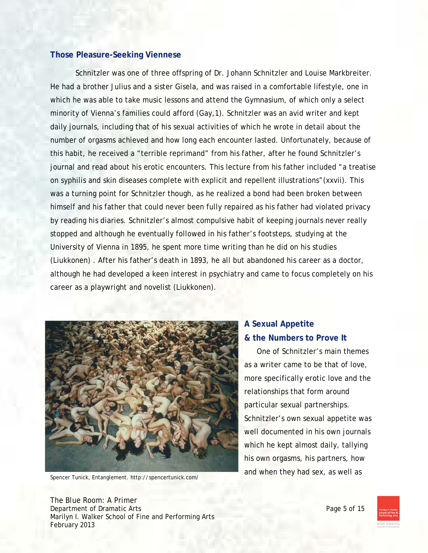# **Those Pleasure-Seeking Viennese**

 Schnitzler was one of three offspring of Dr. Johann Schnitzler and Louise Markbreiter. He had a brother Julius and a sister Gisela, and was raised in a comfortable lifestyle, one in which he was able to take music lessons and attend the Gymnasium, of which only a select minority of Vienna's families could afford (Gay,1). Schnitzler was an avid writer and kept daily journals, including that of his sexual activities of which he wrote in detail about the number of orgasms achieved and how long each encounter lasted. Unfortunately, because of this habit, he received a "terrible reprimand" from his father, after he found Schnitzler's journal and read about his erotic encounters. This lecture from his father included "a treatise on syphilis and skin diseases complete with explicit and repellent illustrations"(xxvii). This was a turning point for Schnitzler though, as he realized a bond had been broken between himself and his father that could never been fully repaired as his father had violated privacy by reading his diaries. Schnitzler's almost compulsive habit of keeping journals never really stopped and although he eventually followed in his father's footsteps, studying at the University of Vienna in 1895, he spent more time writing than he did on his studies (Liukkonen) . After his father's death in 1893, he all but abandoned his career as a doctor, although he had developed a keen interest in psychiatry and came to focus completely on his career as a playwright and novelist (Liukkonen).



# **A Sexual Appetite & the Numbers to Prove It**

One of Schnitzler's main themes as a writer came to be that of love, more specifically erotic love and the relationships that form around particular sexual partnerships. Schnitzler's own sexual appetite was well documented in his own journals which he kept almost daily, tallying his own orgasms, his partners, how

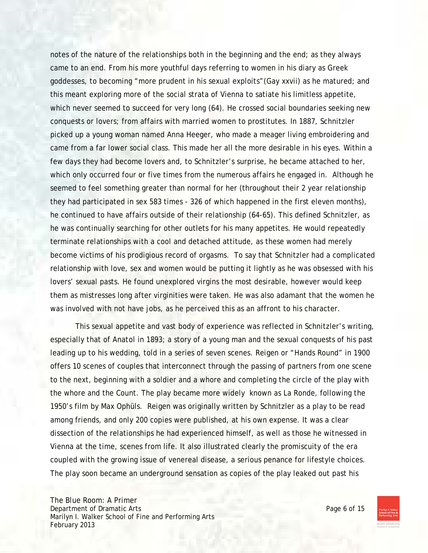notes of the nature of the relationships both in the beginning and the end; as they always came to an end. From his more youthful days referring to women in his diary as Greek goddesses, to becoming "more prudent in his sexual exploits"(Gay xxvii) as he matured; and this meant exploring more of the social strata of Vienna to satiate his limitless appetite, which never seemed to succeed for very long (64). He crossed social boundaries seeking new conquests or lovers; from affairs with married women to prostitutes. In 1887, Schnitzler picked up a young woman named Anna Heeger, who made a meager living embroidering and came from a far lower social class. This made her all the more desirable in his eyes. Within a few days they had become lovers and, to Schnitzler's surprise, he became attached to her, which only occurred four or five times from the numerous affairs he engaged in. Although he seemed to feel something greater than normal for her (throughout their 2 year relationship they had participated in sex 583 times - 326 of which happened in the first eleven months), he continued to have affairs outside of their relationship (64-65). This defined Schnitzler, as he was continually searching for other outlets for his many appetites. He would repeatedly terminate relationships with a cool and detached attitude, as these women had merely become victims of his prodigious record of orgasms. To say that Schnitzler had a complicated relationship with love, sex and women would be putting it lightly as he was obsessed with his lovers' sexual pasts. He found unexplored virgins the most desirable, however would keep them as mistresses long after virginities were taken. He was also adamant that the women he was involved with not have jobs, as he perceived this as an affront to his character.

 This sexual appetite and vast body of experience was reflected in Schnitzler's writing, especially that of *Anatol* in 1893; a story of a young man and the sexual conquests of his past leading up to his wedding, told in a series of seven scenes. *Reigen* or "Hands Round" in 1900 offers 10 scenes of couples that interconnect through the passing of partners from one scene to the next, beginning with a soldier and a whore and completing the circle of the play with the whore and the Count. The play became more widely known as *La Ronde*, following the 1950's film by Max Ophüls. *Reigen* was originally written by Schnitzler as a play to be read among friends, and only 200 copies were published, at his own expense. It was a clear dissection of the relationships he had experienced himself, as well as those he witnessed in Vienna at the time, scenes from life. It also illustrated clearly the promiscuity of the era coupled with the growing issue of venereal disease, a serious penance for lifestyle choices. The play soon became an underground sensation as copies of the play leaked out past his

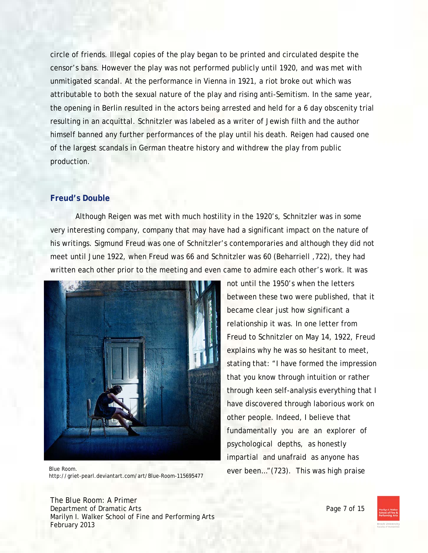circle of friends. Illegal copies of the play began to be printed and circulated despite the censor's bans. However the play was not performed publicly until 1920, and was met with unmitigated scandal. At the performance in Vienna in 1921, a riot broke out which was attributable to both the sexual nature of the play and rising anti-Semitism. In the same year, the opening in Berlin resulted in the actors being arrested and held for a 6 day obscenity trial resulting in an acquittal. Schnitzler was labeled as a writer of Jewish filth and the author himself banned any further performances of the play until his death. Reigen had caused one of the largest scandals in German theatre history and withdrew the play from public production.

# **Freud's Double**

 Although *Reigen* was met with much hostility in the 1920's, Schnitzler was in some very interesting company, company that may have had a significant impact on the nature of his writings. Sigmund Freud was one of Schnitzler's contemporaries and although they did not meet until June 1922, when Freud was 66 and Schnitzler was 60 (Beharriell ,722), they had written each other prior to the meeting and even came to admire each other's work. It was



Blue Room.<br>
Lite ((with a said design to the case of the Passe 115(65,177) ever been..." (723). This was high praise http://griet-pearl.deviantart.com/art/Blue-Room-115695477

not until the 1950's when the letters between these two were published, that it became clear just how significant a relationship it was. In one letter from Freud to Schnitzler on May 14, 1922, Freud explains why he was so hesitant to meet, stating that: "I have formed the impression that you know through intuition or rather through keen self-analysis everything that I have discovered through laborious work on other people. Indeed, I believe that fundamentally you are an explorer of psychological depths, as honestly impartial and unafraid as anyone has

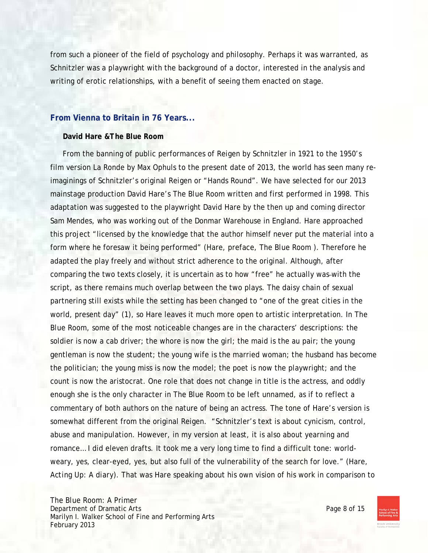from such a pioneer of the field of psychology and philosophy. Perhaps it was warranted, as Schnitzler was a playwright with the background of a doctor, interested in the analysis and writing of erotic relationships, with a benefit of seeing them enacted on stage.

#### **From Vienna to Britain in 76 Years...**

#### **David Hare &***The Blue Room*

From the banning of public performances of *Reigen* by Schnitzler in 1921 to the 1950's film version *La Ronde* by Max Ophuls to the present date of 2013, the world has seen many reimaginings of Schnitzler's original *Reigen* or "Hands Round". We have selected for our 2013 mainstage production David Hare's *The Blue Room* written and first performed in 1998. This adaptation was suggested to the playwright David Hare by the then up and coming director Sam Mendes, who was working out of the Donmar Warehouse in England. Hare approached this project "licensed by the knowledge that the author himself never put the material into a form where he foresaw it being performed" (Hare, preface, *The Blue Room* ). Therefore he adapted the play freely and without strict adherence to the original. Although, after comparing the two texts closely, it is uncertain as to how "free" he actually was with the script, as there remains much overlap between the two plays. The daisy chain of sexual partnering still exists while the setting has been changed to "one of the great cities in the world, present day" (1), so Hare leaves it much more open to artistic interpretation. In *The Blue Room*, some of the most noticeable changes are in the characters' descriptions: the soldier is now a cab driver; the whore is now the girl; the maid is the au pair; the young gentleman is now the student; the young wife is the married woman; the husband has become the politician; the young miss is now the model; the poet is now the playwright; and the count is now the aristocrat. One role that does not change in title is the actress, and oddly enough she is the only character in The Blue Room to be left unnamed, as if to reflect a commentary of both authors on the nature of being an actress. The tone of Hare's version is somewhat different from the original Reigen. "Schnitzler's text is about cynicism, control, abuse and manipulation. However, in my version at least, it is also about yearning and romance… I did eleven drafts. It took me a very long time to find a difficult tone: worldweary, yes, clear-eyed, yes, but also full of the vulnerability of the search for love." (Hare, *Acting Up: A diary*). That was Hare speaking about his own vision of his work in comparison to

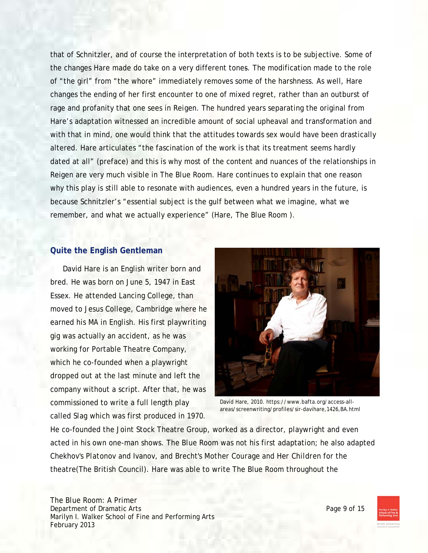that of Schnitzler, and of course the interpretation of both texts is to be subjective. Some of the changes Hare made do take on a very different tones. The modification made to the role of "the girl" from "the whore" immediately removes some of the harshness. As well, Hare changes the ending of her first encounter to one of mixed regret, rather than an outburst of rage and profanity that one sees in *Reigen.* The hundred years separating the original from Hare's adaptation witnessed an incredible amount of social upheaval and transformation and with that in mind, one would think that the attitudes towards sex would have been drastically altered. Hare articulates "the fascination of the work is that its treatment seems hardly dated at all" (preface) and this is why most of the content and nuances of the relationships in Reigen are very much visible in *The Blue Room*. Hare continues to explain that one reason why this play is still able to resonate with audiences, even a hundred years in the future, is because Schnitzler's "essential subject is the gulf between what we imagine, what we remember, and what we actually experience" (Hare, The Blue Room ).

#### **Quite the English Gentleman**

David Hare is an English writer born and bred. He was born on June 5, 1947 in East Essex. He attended Lancing College, than moved to Jesus College, Cambridge where he earned his MA in English. His first playwriting gig was actually an accident, as he was working for Portable Theatre Company, which he co-founded when a playwright dropped out at the last minute and left the company without a script. After that, he was commissioned to write a full length play called *Slag* which was first produced in 1970.



David Hare, 2010. https://www.bafta.org/access-allareas/screenwriting/profiles/sir-davihare,1426,BA.html

He co-founded the Joint Stock Theatre Group, worked as a director, playwright and even acted in his own one-man shows. *The Blue Room* was not his first adaptation; he also adapted Chekhov's *Platonov and Ivanov*, and Brecht's *Mother Courage and Her Children* for the theatre(The British Council). Hare was able to write The Blue Room throughout the

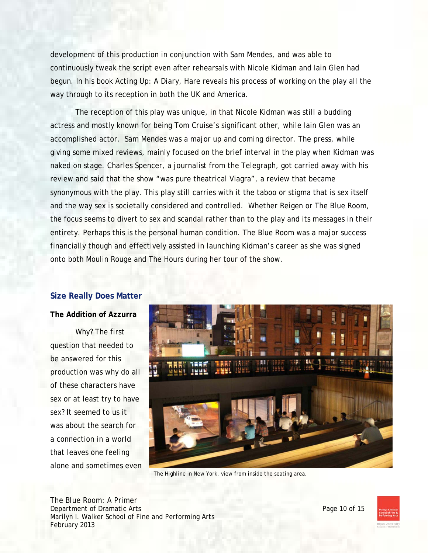development of this production in conjunction with Sam Mendes, and was able to continuously tweak the script even after rehearsals with Nicole Kidman and Iain Glen had begun. In his book *Acting Up: A Diary*, Hare reveals his process of working on the play all the way through to its reception in both the UK and America.

 The reception of this play was unique, in that Nicole Kidman was still a budding actress and mostly known for being Tom Cruise's significant other, while Iain Glen was an accomplished actor. Sam Mendes was a major up and coming director. The press, while giving some mixed reviews, mainly focused on the brief interval in the play when Kidman was naked on stage. Charles Spencer, a journalist from the Telegraph, got carried away with his review and said that the show "was pure theatrical Viagra", a review that became synonymous with the play. This play still carries with it the taboo or stigma that is sex itself and the way sex is societally considered and controlled. Whether *Reigen* or *The Blue Room*, the focus seems to divert to sex and scandal rather than to the play and its messages in their entirety. Perhaps this is the personal human condition. The Blue Room was a major success financially though and effectively assisted in launching Kidman's career as she was signed onto both Moulin Rouge and The Hours during her tour of the show.

# **Size Really Does Matter**

# **The Addition of Azzurra**

Why? The first question that needed to be answered for this production was why do all of these characters have sex or at least try to have sex? It seemed to us it was about the search for a connection in a world that leaves one feeling alone and sometimes even



*The Highline* in New York, view from inside the seating area.

*The Blue Room*: A Primer Department of Dramatic Arts **Page 10** of 15 Marilyn I. Walker School of Fine and Performing Arts February 2013

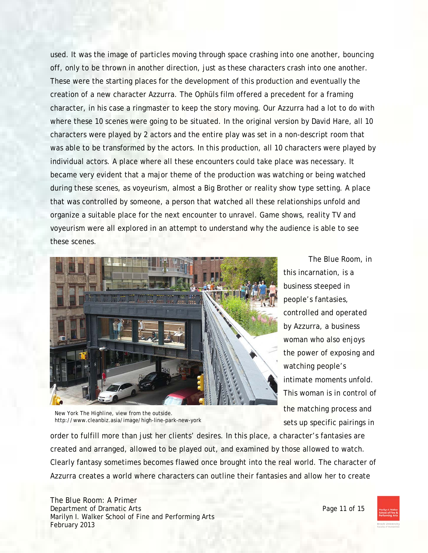used. It was the image of particles moving through space crashing into one another, bouncing off, only to be thrown in another direction, just as these characters crash into one another. These were the starting places for the development of this production and eventually the creation of a new character Azzurra. The Ophüls film offered a precedent for a framing character, in his case a ringmaster to keep the story moving. Our Azzurra had a lot to do with where these 10 scenes were going to be situated. In the original version by David Hare, all 10 characters were played by 2 actors and the entire play was set in a non-descript room that was able to be transformed by the actors. In this production, all 10 characters were played by individual actors. A place where all these encounters could take place was necessary. It became very evident that a major theme of the production was watching or being watched during these scenes, as voyeurism, almost a Big Brother or reality show type setting. A place that was controlled by someone, a person that watched all these relationships unfold and organize a suitable place for the next encounter to unravel. Game shows, reality TV and voyeurism were all explored in an attempt to understand why the audience is able to see these scenes.



New York *The Highline*, view from the outside. http://www.cleanbiz.asia/image/high-line-park-new-york

*The Blue Room*, in this incarnation, is a business steeped in people's fantasies, controlled and operated by Azzurra, a business woman who also enjoys the power of exposing and watching people's intimate moments unfold. This woman is in control of the matching process and sets up specific pairings in

order to fulfill more than just her clients' desires. In this place, a character's fantasies are created and arranged, allowed to be played out, and examined by those allowed to watch. Clearly fantasy sometimes becomes flawed once brought into the real world. The character of Azzurra creates a world where characters can outline their fantasies and allow her to create

*The Blue Room*: A Primer Department of Dramatic Arts **Page 11** of 15 Marilyn I. Walker School of Fine and Performing Arts February 2013

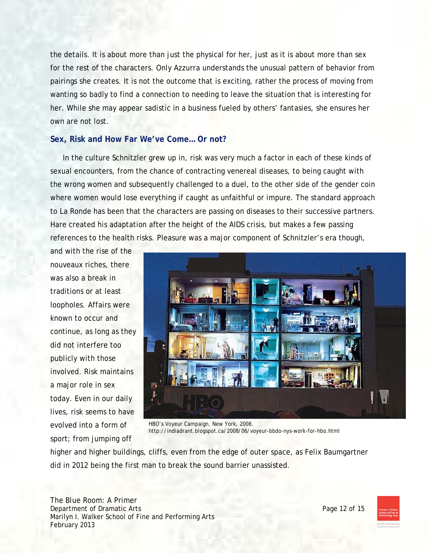the details. It is about more than just the physical for her, just as it is about more than sex for the rest of the characters. Only Azzurra understands the unusual pattern of behavior from pairings she creates. It is not the outcome that is exciting, rather the process of moving from wanting so badly to find a connection to needing to leave the situation that is interesting for her. While she may appear sadistic in a business fueled by others' fantasies, she ensures her own are not lost.

### **Sex, Risk and How Far We've Come… Or not?**

In the culture Schnitzler grew up in, risk was very much a factor in each of these kinds of sexual encounters, from the chance of contracting venereal diseases, to being caught with the wrong women and subsequently challenged to a duel, to the other side of the gender coin where women would lose everything if caught as unfaithful or impure. The standard approach to *La Ronde* has been that the characters are passing on diseases to their successive partners. Hare created his adaptation after the height of the AIDS crisis, but makes a few passing references to the health risks. Pleasure was a major component of Schnitzler's era though,

and with the rise of the nouveaux riches, there was also a break in traditions or at least loopholes. Affairs were known to occur and continue, as long as they did not interfere too publicly with those involved. Risk maintains a major role in sex today. Even in our daily lives, risk seems to have evolved into a form of sport; from jumping off



HBO's Voyeur Campaign, New York, 2008. http://indiadrant.blogspot.ca/2008/06/voyeur-bbdo-nys-work-for-hbo.html

higher and higher buildings, cliffs, even from the edge of outer space, as Felix Baumgartner did in 2012 being the first man to break the sound barrier unassisted.

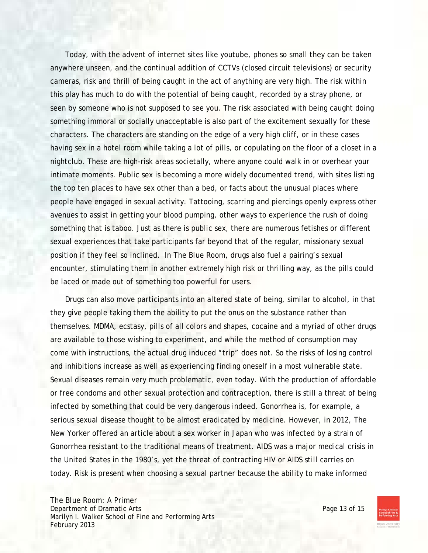Today, with the advent of internet sites like youtube, phones so small they can be taken anywhere unseen, and the continual addition of CCTVs (closed circuit televisions) or security cameras, risk and thrill of being caught in the act of anything are very high. The risk within this play has much to do with the potential of being caught, recorded by a stray phone, or seen by someone who is not supposed to see you. The risk associated with being caught doing something immoral or socially unacceptable is also part of the excitement sexually for these characters. The characters are standing on the edge of a very high cliff, or in these cases having sex in a hotel room while taking a lot of pills, or copulating on the floor of a closet in a nightclub. These are high-risk areas societally, where anyone could walk in or overhear your intimate moments. Public sex is becoming a more widely documented trend, with sites listing the top ten places to have sex other than a bed, or facts about the unusual places where people have engaged in sexual activity. Tattooing, scarring and piercings openly express other avenues to assist in getting your blood pumping, other ways to experience the rush of doing something that is taboo. Just as there is public sex, there are numerous fetishes or different sexual experiences that take participants far beyond that of the regular, missionary sexual position if they feel so inclined. In *The Blue Room*, drugs also fuel a pairing's sexual encounter, stimulating them in another extremely high risk or thrilling way, as the pills could be laced or made out of something too powerful for users.

 Drugs can also move participants into an altered state of being, similar to alcohol, in that they give people taking them the ability to put the onus on the substance rather than themselves. MDMA, ecstasy, pills of all colors and shapes, cocaine and a myriad of other drugs are available to those wishing to experiment, and while the method of consumption may come with instructions, the actual drug induced "trip" does not. So the risks of losing control and inhibitions increase as well as experiencing finding oneself in a most vulnerable state. Sexual diseases remain very much problematic, even today. With the production of affordable or free condoms and other sexual protection and contraception, there is still a threat of being infected by something that could be very dangerous indeed. Gonorrhea is, for example, a serious sexual disease thought to be almost eradicated by medicine. However, in 2012, The New Yorker offered an article about a sex worker in Japan who was infected by a strain of Gonorrhea resistant to the traditional means of treatment. AIDS was a major medical crisis in the United States in the 1980's, yet the threat of contracting HIV or AIDS still carries on today. Risk is present when choosing a sexual partner because the ability to make informed

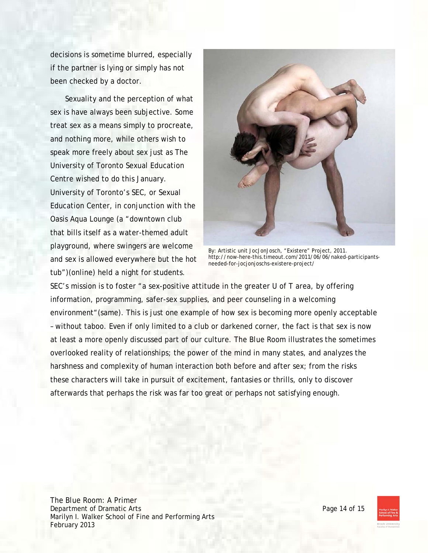decisions is sometime blurred, especially if the partner is lying or simply has not been checked by a doctor.

 Sexuality and the perception of what sex is have always been subjective. Some treat sex as a means simply to procreate, and nothing more, while others wish to speak more freely about sex just as The University of Toronto Sexual Education Centre wished to do this January. University of Toronto's SEC, or Sexual Education Center, in conjunction with the Oasis Aqua Lounge (a "downtown club that bills itself as a water-themed adult playground, where swingers are welcome and sex is allowed everywhere but the hot tub")(online) held a night for students.



By: Artistic unit JocJonJosch, "Existere" Project, 2011. http://now-here-this.timeout.com/2011/06/06/naked-participantsneeded-for-jocjonjoschs-existere-project/

SEC's mission is to foster "a sex-positive attitude in the greater U of T area, by offering information, programming, safer-sex supplies, and peer counseling in a welcoming environment"(same). This is just one example of how sex is becoming more openly acceptable – without taboo. Even if only limited to a club or darkened corner, the fact is that sex is now at least a more openly discussed part of our culture. *The Blue Room* illustrates the sometimes overlooked reality of relationships; the power of the mind in many states, and analyzes the harshness and complexity of human interaction both before and after sex; from the risks these characters will take in pursuit of excitement, fantasies or thrills, only to discover afterwards that perhaps the risk was far too great or perhaps not satisfying enough.